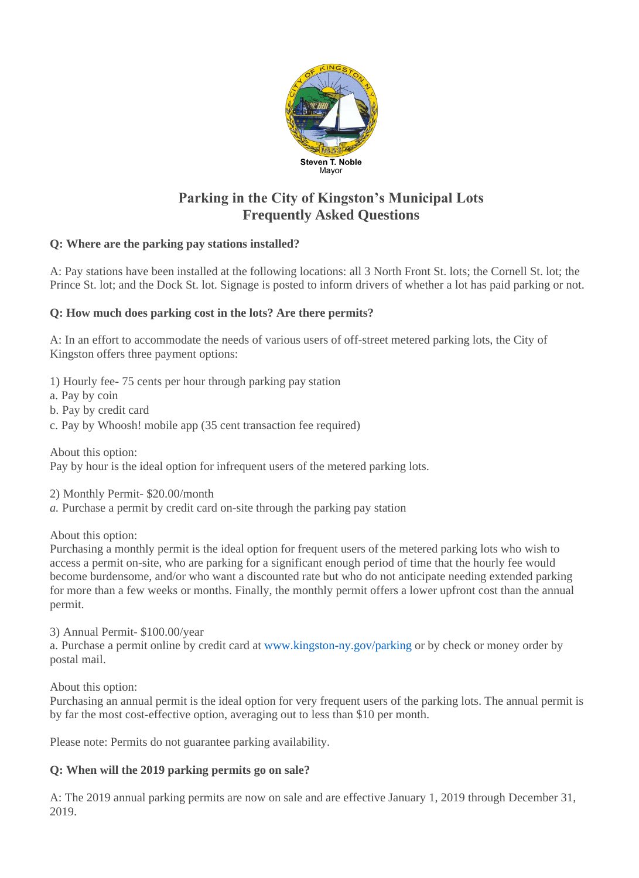

# **Parking in the City of Kingston's Municipal Lots Frequently Asked Questions**

# **Q: Where are the parking pay stations installed?**

A: Pay stations have been installed at the following locations: all 3 North Front St. lots; the Cornell St. lot; the Prince St. lot; and the Dock St. lot. Signage is posted to inform drivers of whether a lot has paid parking or not.

# **Q: How much does parking cost in the lots? Are there permits?**

A: In an effort to accommodate the needs of various users of off-street metered parking lots, the City of Kingston offers three payment options:

1) Hourly fee- 75 cents per hour through parking pay station

a. Pay by coin

b. Pay by credit card

c. Pay by Whoosh! mobile app (35 cent transaction fee required)

About this option:

Pay by hour is the ideal option for infrequent users of the metered parking lots.

2) Monthly Permit- \$20.00/month

*a.* Purchase a permit by credit card on-site through the parking pay station

About this option:

Purchasing a monthly permit is the ideal option for frequent users of the metered parking lots who wish to access a permit on-site, who are parking for a significant enough period of time that the hourly fee would become burdensome, and/or who want a discounted rate but who do not anticipate needing extended parking for more than a few weeks or months. Finally, the monthly permit offers a lower upfront cost than the annual permit.

3) Annual Permit- \$100.00/year

a. Purchase a permit online by credit card a[t www.kingston-ny.gov/parking](http://www.kingston-ny.gov/parking) or by check or money order by postal mail.

About this option:

Purchasing an annual permit is the ideal option for very frequent users of the parking lots. The annual permit is by far the most cost-effective option, averaging out to less than \$10 per month.

Please note: Permits do not guarantee parking availability.

# **Q: When will the 2019 parking permits go on sale?**

A: The 2019 annual parking permits are now on sale and are effective January 1, 2019 through December 31, 2019.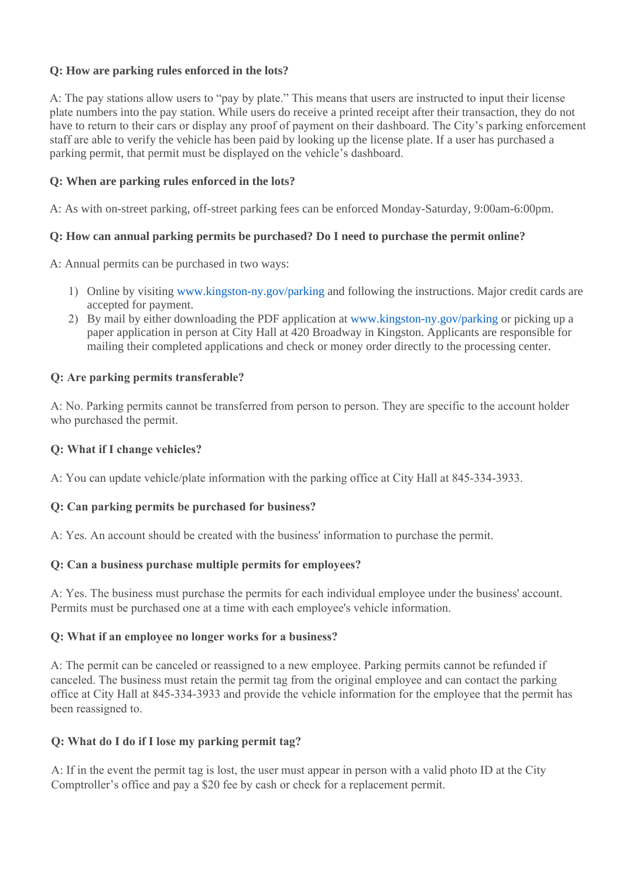# **Q: How are parking rules enforced in the lots?**

A: The pay stations allow users to "pay by plate." This means that users are instructed to input their license plate numbers into the pay station. While users do receive a printed receipt after their transaction, they do not have to return to their cars or display any proof of payment on their dashboard. The City's parking enforcement staff are able to verify the vehicle has been paid by looking up the license plate. If a user has purchased a parking permit, that permit must be displayed on the vehicle's dashboard.

## **Q: When are parking rules enforced in the lots?**

A: As with on-street parking, off-street parking fees can be enforced Monday-Saturday, 9:00am-6:00pm.

## **Q: How can annual parking permits be purchased? Do I need to purchase the permit online?**

A: Annual permits can be purchased in two ways:

- 1) Online by visiting [www.kingston-ny.gov/parking](http://www.kingston-ny.gov/parking) and following the instructions. Major credit cards are accepted for payment.
- 2) By mail by either downloading the PDF application a[t www.kingston-ny.gov/parking](http://www.kingston-ny.gov/parking) or picking up a paper application in person at City Hall at 420 Broadway in Kingston. Applicants are responsible for mailing their completed applications and check or money order directly to the processing center.

## **Q: Are parking permits transferable?**

A: No. Parking permits cannot be transferred from person to person. They are specific to the account holder who purchased the permit.

#### **Q: What if I change vehicles?**

A: You can update vehicle/plate information with the parking office at City Hall at 845-334-3933.

#### **Q: Can parking permits be purchased for business?**

A: Yes. An account should be created with the business' information to purchase the permit.

#### **Q: Can a business purchase multiple permits for employees?**

A: Yes. The business must purchase the permits for each individual employee under the business' account. Permits must be purchased one at a time with each employee's vehicle information.

#### **Q: What if an employee no longer works for a business?**

A: The permit can be canceled or reassigned to a new employee. Parking permits cannot be refunded if canceled. The business must retain the permit tag from the original employee and can contact the parking office at City Hall at 845-334-3933 and provide the vehicle information for the employee that the permit has been reassigned to.

#### **Q: What do I do if I lose my parking permit tag?**

A: If in the event the permit tag is lost, the user must appear in person with a valid photo ID at the City Comptroller's office and pay a \$20 fee by cash or check for a replacement permit.